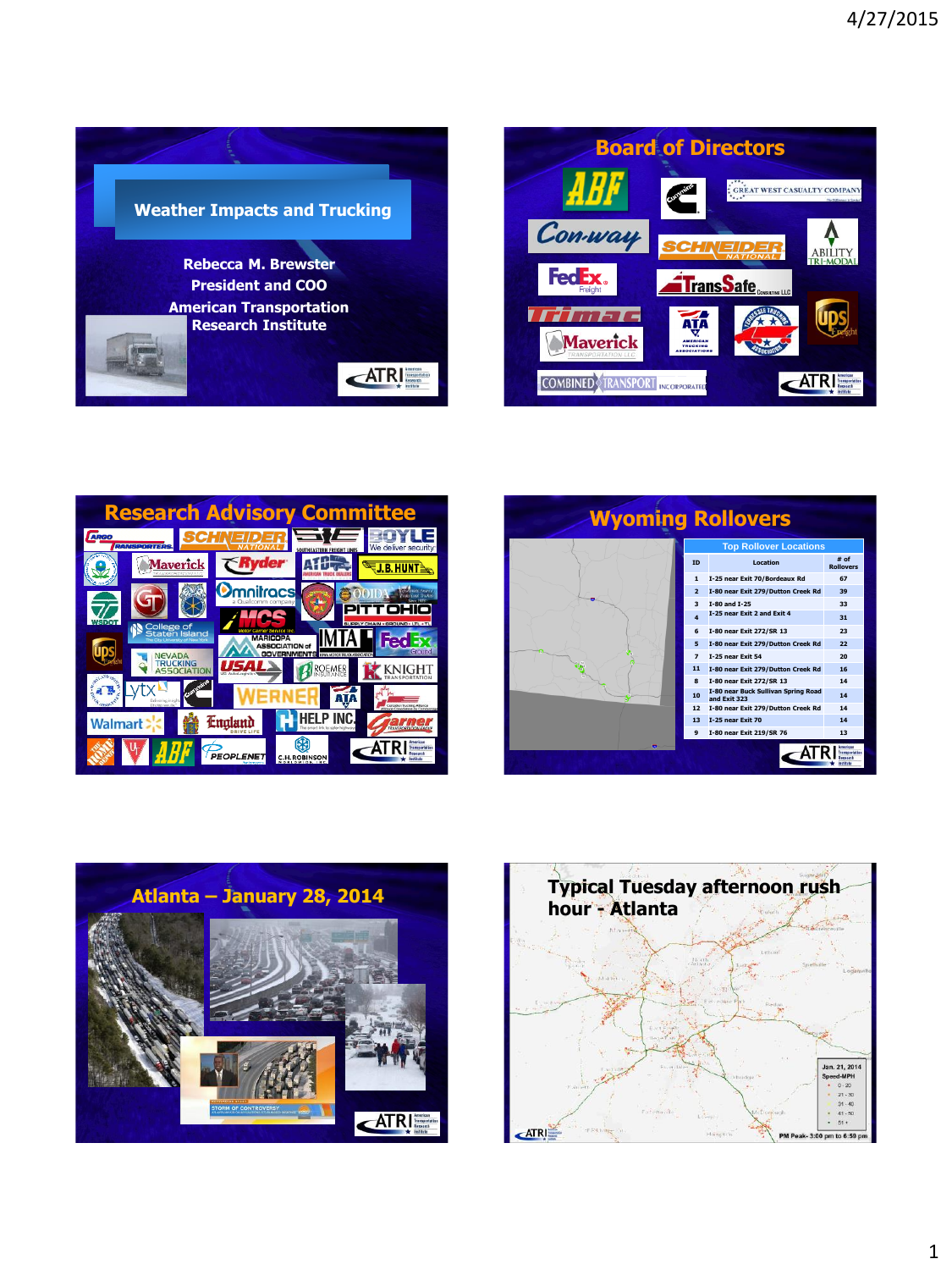









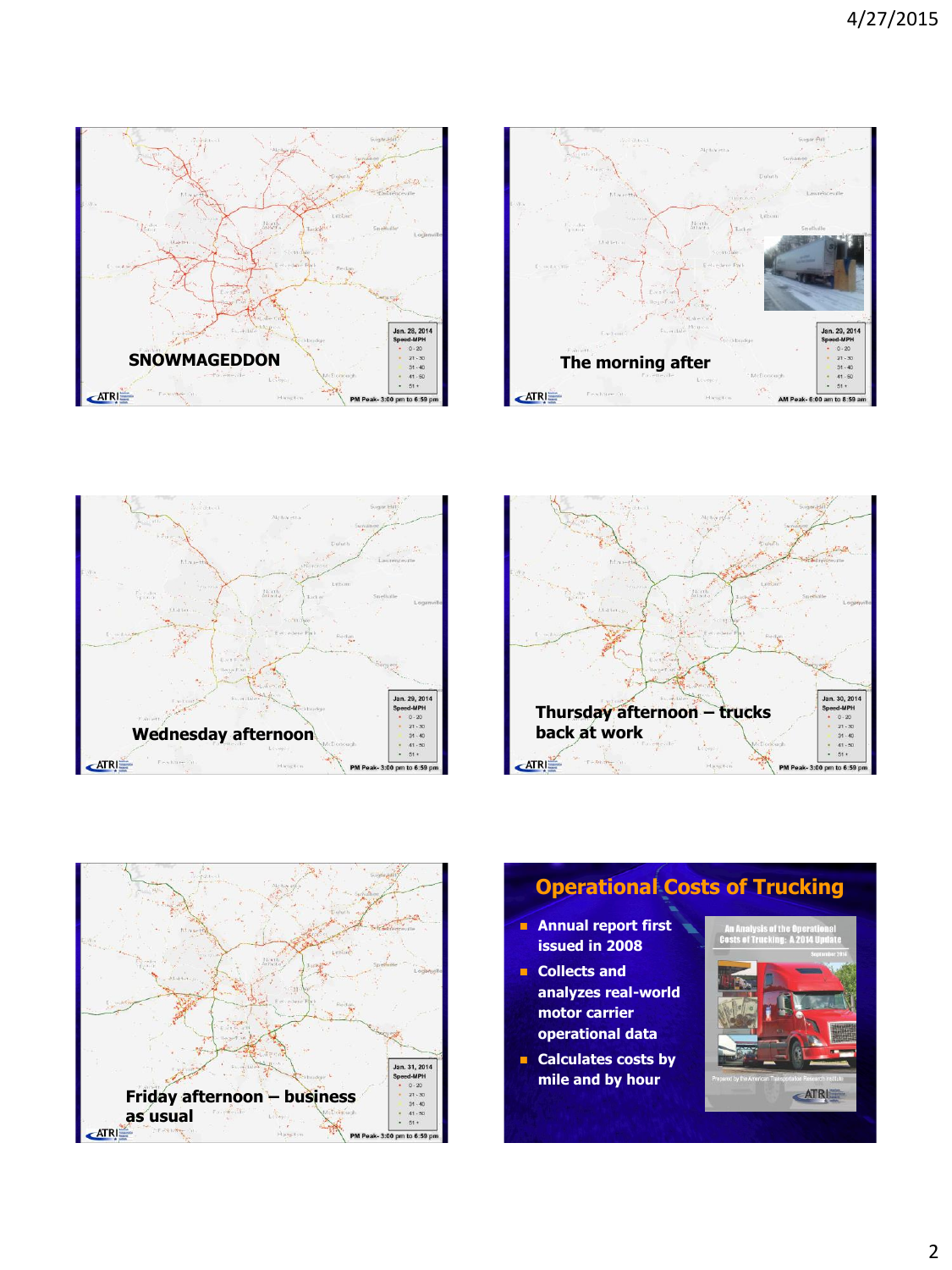









## **Operational Costs of Trucking Annual report first issued in 2008 Collects and analyzes real-world motor carrier operational data Calculates costs by mile and by hour**ATRI